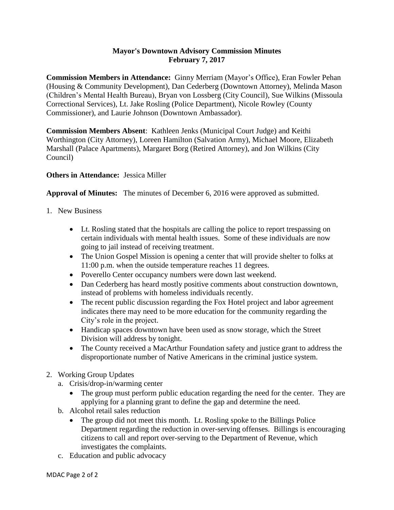## **Mayor's Downtown Advisory Commission Minutes February 7, 2017**

**Commission Members in Attendance:** Ginny Merriam (Mayor's Office), Eran Fowler Pehan (Housing & Community Development), Dan Cederberg (Downtown Attorney), Melinda Mason (Children's Mental Health Bureau), Bryan von Lossberg (City Council), Sue Wilkins (Missoula Correctional Services), Lt. Jake Rosling (Police Department), Nicole Rowley (County Commissioner), and Laurie Johnson (Downtown Ambassador).

**Commission Members Absent**: Kathleen Jenks (Municipal Court Judge) and Keithi Worthington (City Attorney), Loreen Hamilton (Salvation Army), Michael Moore, Elizabeth Marshall (Palace Apartments), Margaret Borg (Retired Attorney), and Jon Wilkins (City Council)

## **Others in Attendance:** Jessica Miller

**Approval of Minutes:** The minutes of December 6, 2016 were approved as submitted.

- 1. New Business
	- Lt. Rosling stated that the hospitals are calling the police to report trespassing on certain individuals with mental health issues. Some of these individuals are now going to jail instead of receiving treatment.
	- The Union Gospel Mission is opening a center that will provide shelter to folks at 11:00 p.m. when the outside temperature reaches 11 degrees.
	- Poverello Center occupancy numbers were down last weekend.
	- Dan Cederberg has heard mostly positive comments about construction downtown, instead of problems with homeless individuals recently.
	- The recent public discussion regarding the Fox Hotel project and labor agreement indicates there may need to be more education for the community regarding the City's role in the project.
	- Handicap spaces downtown have been used as snow storage, which the Street Division will address by tonight.
	- The County received a MacArthur Foundation safety and justice grant to address the disproportionate number of Native Americans in the criminal justice system.
- 2. Working Group Updates
	- a. Crisis/drop-in/warming center
		- The group must perform public education regarding the need for the center. They are applying for a planning grant to define the gap and determine the need.
	- b. Alcohol retail sales reduction
		- The group did not meet this month. Lt. Rosling spoke to the Billings Police Department regarding the reduction in over-serving offenses. Billings is encouraging citizens to call and report over-serving to the Department of Revenue, which investigates the complaints.
	- c. Education and public advocacy